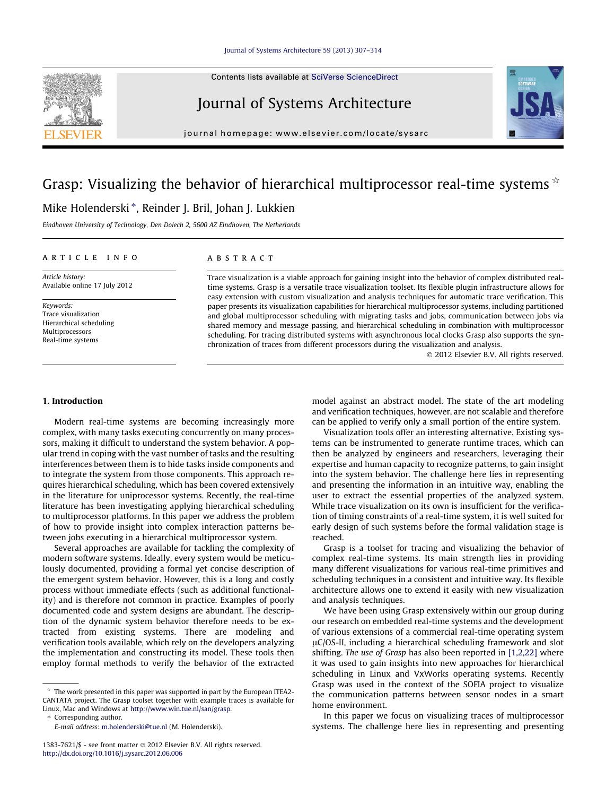Contents lists available at [SciVerse ScienceDirect](http://www.sciencedirect.com/science/journal/13837621)

# Journal of Systems Architecture

journal homepage: [www.elsevier.com/locate/sysarc](http://www.elsevier.com/locate/sysarc)

# Grasp: Visualizing the behavior of hierarchical multiprocessor real-time systems  $\dot{\alpha}$ Mike Holenderski \*, Reinder J. Bril, Johan J. Lukkien

Eindhoven University of Technology, Den Dolech 2, 5600 AZ Eindhoven, The Netherlands

#### article info

Article history: Available online 17 July 2012

Keywords: Trace visualization Hierarchical scheduling Multiprocessors Real-time systems

#### **ABSTRACT**

Trace visualization is a viable approach for gaining insight into the behavior of complex distributed realtime systems. Grasp is a versatile trace visualization toolset. Its flexible plugin infrastructure allows for easy extension with custom visualization and analysis techniques for automatic trace verification. This paper presents its visualization capabilities for hierarchical multiprocessor systems, including partitioned and global multiprocessor scheduling with migrating tasks and jobs, communication between jobs via shared memory and message passing, and hierarchical scheduling in combination with multiprocessor scheduling. For tracing distributed systems with asynchronous local clocks Grasp also supports the synchronization of traces from different processors during the visualization and analysis.

- 2012 Elsevier B.V. All rights reserved.

## 1. Introduction

Modern real-time systems are becoming increasingly more complex, with many tasks executing concurrently on many processors, making it difficult to understand the system behavior. A popular trend in coping with the vast number of tasks and the resulting interferences between them is to hide tasks inside components and to integrate the system from those components. This approach requires hierarchical scheduling, which has been covered extensively in the literature for uniprocessor systems. Recently, the real-time literature has been investigating applying hierarchical scheduling to multiprocessor platforms. In this paper we address the problem of how to provide insight into complex interaction patterns between jobs executing in a hierarchical multiprocessor system.

Several approaches are available for tackling the complexity of modern software systems. Ideally, every system would be meticulously documented, providing a formal yet concise description of the emergent system behavior. However, this is a long and costly process without immediate effects (such as additional functionality) and is therefore not common in practice. Examples of poorly documented code and system designs are abundant. The description of the dynamic system behavior therefore needs to be extracted from existing systems. There are modeling and verification tools available, which rely on the developers analyzing the implementation and constructing its model. These tools then employ formal methods to verify the behavior of the extracted

\* Corresponding author.

model against an abstract model. The state of the art modeling and verification techniques, however, are not scalable and therefore can be applied to verify only a small portion of the entire system.

Visualization tools offer an interesting alternative. Existing systems can be instrumented to generate runtime traces, which can then be analyzed by engineers and researchers, leveraging their expertise and human capacity to recognize patterns, to gain insight into the system behavior. The challenge here lies in representing and presenting the information in an intuitive way, enabling the user to extract the essential properties of the analyzed system. While trace visualization on its own is insufficient for the verification of timing constraints of a real-time system, it is well suited for early design of such systems before the formal validation stage is reached.

Grasp is a toolset for tracing and visualizing the behavior of complex real-time systems. Its main strength lies in providing many different visualizations for various real-time primitives and scheduling techniques in a consistent and intuitive way. Its flexible architecture allows one to extend it easily with new visualization and analysis techniques.

We have been using Grasp extensively within our group during our research on embedded real-time systems and the development of various extensions of a commercial real-time operating system  $\mu$ C/OS-II, including a hierarchical scheduling framework and slot shifting. The use of Grasp has also been reported in [\[1,2,22\]](#page--1-0) where it was used to gain insights into new approaches for hierarchical scheduling in Linux and VxWorks operating systems. Recently Grasp was used in the context of the SOFIA project to visualize the communication patterns between sensor nodes in a smart home environment.

In this paper we focus on visualizing traces of multiprocessor systems. The challenge here lies in representing and presenting



 $*$  The work presented in this paper was supported in part by the European ITEA2-CANTATA project. The Grasp toolset together with example traces is available for Linux, Mac and Windows at [http://www.win.tue.nl/san/grasp.](http://wikis.sun.com/display/dtrace/dtrace)

E-mail address: [m.holenderski@tue.nl](mailto:m.holenderski@tue.nl) (M. Holenderski).

<sup>1383-7621/\$ -</sup> see front matter @ 2012 Elsevier B.V. All rights reserved. <http://dx.doi.org/10.1016/j.sysarc.2012.06.006>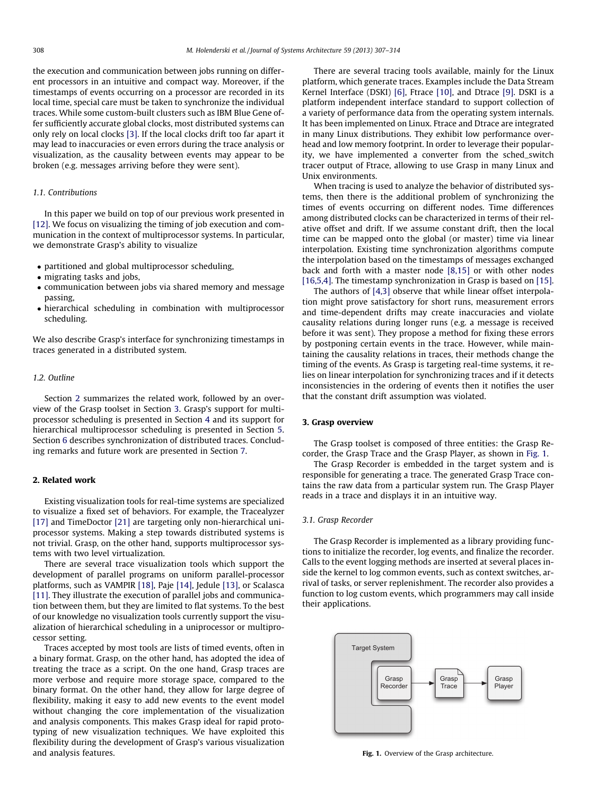the execution and communication between jobs running on different processors in an intuitive and compact way. Moreover, if the timestamps of events occurring on a processor are recorded in its local time, special care must be taken to synchronize the individual traces. While some custom-built clusters such as IBM Blue Gene offer sufficiently accurate global clocks, most distributed systems can only rely on local clocks [\[3\]](#page--1-0). If the local clocks drift too far apart it may lead to inaccuracies or even errors during the trace analysis or visualization, as the causality between events may appear to be broken (e.g. messages arriving before they were sent).

#### 1.1. Contributions

In this paper we build on top of our previous work presented in [\[12\]](#page--1-0). We focus on visualizing the timing of job execution and communication in the context of multiprocessor systems. In particular, we demonstrate Grasp's ability to visualize

- partitioned and global multiprocessor scheduling,
- migrating tasks and jobs,
- communication between jobs via shared memory and message passing,
- hierarchical scheduling in combination with multiprocessor scheduling.

We also describe Grasp's interface for synchronizing timestamps in traces generated in a distributed system.

## 1.2. Outline

Section 2 summarizes the related work, followed by an overview of the Grasp toolset in Section 3. Grasp's support for multiprocessor scheduling is presented in Section [4](#page--1-0) and its support for hierarchical multiprocessor scheduling is presented in Section [5.](#page--1-0) Section [6](#page--1-0) describes synchronization of distributed traces. Concluding remarks and future work are presented in Section [7.](#page--1-0)

## 2. Related work

Existing visualization tools for real-time systems are specialized to visualize a fixed set of behaviors. For example, the Tracealyzer [\[17\]](#page--1-0) and TimeDoctor [\[21\]](#page--1-0) are targeting only non-hierarchical uniprocessor systems. Making a step towards distributed systems is not trivial. Grasp, on the other hand, supports multiprocessor systems with two level virtualization.

There are several trace visualization tools which support the development of parallel programs on uniform parallel-processor platforms, such as VAMPIR [\[18\]](#page--1-0), Paje [\[14\],](#page--1-0) Jedule [\[13\],](#page--1-0) or Scalasca [\[11\]](#page--1-0). They illustrate the execution of parallel jobs and communication between them, but they are limited to flat systems. To the best of our knowledge no visualization tools currently support the visualization of hierarchical scheduling in a uniprocessor or multiprocessor setting.

Traces accepted by most tools are lists of timed events, often in a binary format. Grasp, on the other hand, has adopted the idea of treating the trace as a script. On the one hand, Grasp traces are more verbose and require more storage space, compared to the binary format. On the other hand, they allow for large degree of flexibility, making it easy to add new events to the event model without changing the core implementation of the visualization and analysis components. This makes Grasp ideal for rapid prototyping of new visualization techniques. We have exploited this flexibility during the development of Grasp's various visualization and analysis features.

There are several tracing tools available, mainly for the Linux platform, which generate traces. Examples include the Data Stream Kernel Interface (DSKI) [\[6\]](#page--1-0), Ftrace [\[10\]](#page--1-0), and Dtrace [\[9\]](#page--1-0). DSKI is a platform independent interface standard to support collection of a variety of performance data from the operating system internals. It has been implemented on Linux. Ftrace and Dtrace are integrated in many Linux distributions. They exhibit low performance overhead and low memory footprint. In order to leverage their popularity, we have implemented a converter from the sched\_switch tracer output of Ftrace, allowing to use Grasp in many Linux and Unix environments.

When tracing is used to analyze the behavior of distributed systems, then there is the additional problem of synchronizing the times of events occurring on different nodes. Time differences among distributed clocks can be characterized in terms of their relative offset and drift. If we assume constant drift, then the local time can be mapped onto the global (or master) time via linear interpolation. Existing time synchronization algorithms compute the interpolation based on the timestamps of messages exchanged back and forth with a master node [\[8,15\]](#page--1-0) or with other nodes [\[16,5,4\]](#page--1-0). The timestamp synchronization in Grasp is based on [\[15\].](#page--1-0)

The authors of [\[4,3\]](#page--1-0) observe that while linear offset interpolation might prove satisfactory for short runs, measurement errors and time-dependent drifts may create inaccuracies and violate causality relations during longer runs (e.g. a message is received before it was sent). They propose a method for fixing these errors by postponing certain events in the trace. However, while maintaining the causality relations in traces, their methods change the timing of the events. As Grasp is targeting real-time systems, it relies on linear interpolation for synchronizing traces and if it detects inconsistencies in the ordering of events then it notifies the user that the constant drift assumption was violated.

#### 3. Grasp overview

The Grasp toolset is composed of three entities: the Grasp Recorder, the Grasp Trace and the Grasp Player, as shown in Fig. 1.

The Grasp Recorder is embedded in the target system and is responsible for generating a trace. The generated Grasp Trace contains the raw data from a particular system run. The Grasp Player reads in a trace and displays it in an intuitive way.

#### 3.1. Grasp Recorder

The Grasp Recorder is implemented as a library providing functions to initialize the recorder, log events, and finalize the recorder. Calls to the event logging methods are inserted at several places inside the kernel to log common events, such as context switches, arrival of tasks, or server replenishment. The recorder also provides a function to log custom events, which programmers may call inside their applications.



Fig. 1. Overview of the Grasp architecture.